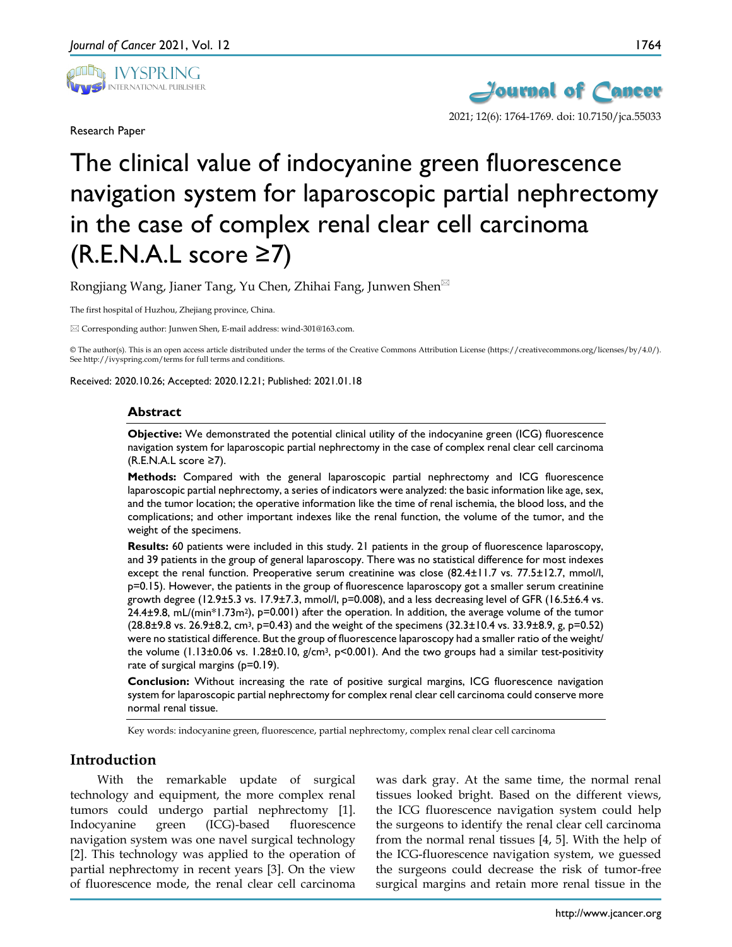

Research Paper



# The clinical value of indocyanine green fluorescence navigation system for laparoscopic partial nephrectomy in the case of complex renal clear cell carcinoma  $(R.E.N.A.L score  $\geq 7$ )$

Rongjiang Wang, Jianer Tang, Yu Chen, Zhihai Fang, Junwen Shen

The first hospital of Huzhou, Zhejiang province, China.

Corresponding author: Junwen Shen, E-mail address: wind-301@163.com.

© The author(s). This is an open access article distributed under the terms of the Creative Commons Attribution License (https://creativecommons.org/licenses/by/4.0/). See http://ivyspring.com/terms for full terms and conditions.

Received: 2020.10.26; Accepted: 2020.12.21; Published: 2021.01.18

#### **Abstract**

**Objective:** We demonstrated the potential clinical utility of the indocyanine green (ICG) fluorescence navigation system for laparoscopic partial nephrectomy in the case of complex renal clear cell carcinoma (R.E.N.A.L score ≥7).

**Methods:** Compared with the general laparoscopic partial nephrectomy and ICG fluorescence laparoscopic partial nephrectomy, a series of indicators were analyzed: the basic information like age, sex, and the tumor location; the operative information like the time of renal ischemia, the blood loss, and the complications; and other important indexes like the renal function, the volume of the tumor, and the weight of the specimens.

**Results:** 60 patients were included in this study. 21 patients in the group of fluorescence laparoscopy, and 39 patients in the group of general laparoscopy. There was no statistical difference for most indexes except the renal function. Preoperative serum creatinine was close (82.4±11.7 vs. 77.5±12.7, mmol/l, p=0.15). However, the patients in the group of fluorescence laparoscopy got a smaller serum creatinine growth degree (12.9±5.3 vs. 17.9±7.3, mmol/l, p=0.008), and a less decreasing level of GFR (16.5±6.4 vs. 24.4±9.8, mL/(min\*1.73m2), p=0.001) after the operation. In addition, the average volume of the tumor  $(28.8\pm9.8 \text{ vs. } 26.9\pm8.2, \text{ cm}^3, \text{ p=0.43})$  and the weight of the specimens  $(32.3\pm10.4 \text{ vs. } 33.9\pm8.9, \text{ g, p=0.52})$ were no statistical difference. But the group of fluorescence laparoscopy had a smaller ratio of the weight/ the volume (1.13±0.06 vs. 1.28±0.10, g/cm3, p<0.001). And the two groups had a similar test-positivity rate of surgical margins (p=0.19).

**Conclusion:** Without increasing the rate of positive surgical margins, ICG fluorescence navigation system for laparoscopic partial nephrectomy for complex renal clear cell carcinoma could conserve more normal renal tissue.

Key words: indocyanine green, fluorescence, partial nephrectomy, complex renal clear cell carcinoma

# **Introduction**

With the remarkable update of surgical technology and equipment, the more complex renal tumors could undergo partial nephrectomy [1]. Indocyanine green (ICG)-based fluorescence navigation system was one navel surgical technology [2]. This technology was applied to the operation of partial nephrectomy in recent years [3]. On the view of fluorescence mode, the renal clear cell carcinoma

was dark gray. At the same time, the normal renal tissues looked bright. Based on the different views, the ICG fluorescence navigation system could help the surgeons to identify the renal clear cell carcinoma from the normal renal tissues [4, 5]. With the help of the ICG-fluorescence navigation system, we guessed the surgeons could decrease the risk of tumor-free surgical margins and retain more renal tissue in the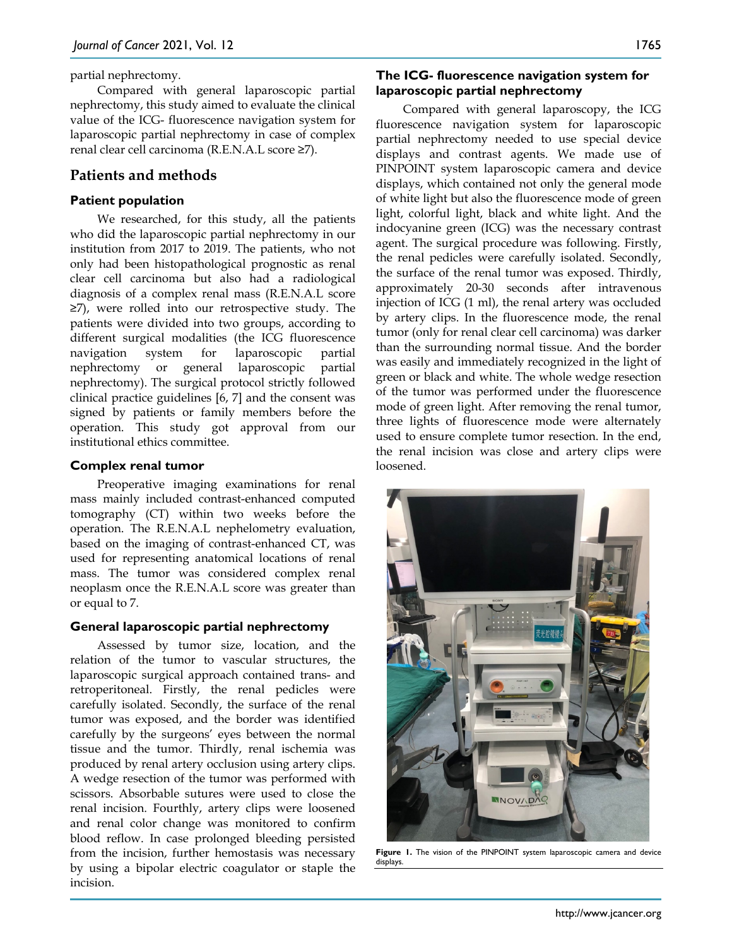partial nephrectomy.

Compared with general laparoscopic partial nephrectomy, this study aimed to evaluate the clinical value of the ICG- fluorescence navigation system for laparoscopic partial nephrectomy in case of complex renal clear cell carcinoma (R.E.N.A.L score ≥7).

## **Patients and methods**

### **Patient population**

We researched, for this study, all the patients who did the laparoscopic partial nephrectomy in our institution from 2017 to 2019. The patients, who not only had been histopathological prognostic as renal clear cell carcinoma but also had a radiological diagnosis of a complex renal mass (R.E.N.A.L score ≥7), were rolled into our retrospective study. The patients were divided into two groups, according to different surgical modalities (the ICG fluorescence navigation system for laparoscopic partial nephrectomy or general laparoscopic partial nephrectomy). The surgical protocol strictly followed clinical practice guidelines [6, 7] and the consent was signed by patients or family members before the operation. This study got approval from our institutional ethics committee.

#### **Complex renal tumor**

Preoperative imaging examinations for renal mass mainly included contrast-enhanced computed tomography (CT) within two weeks before the operation. The R.E.N.A.L nephelometry evaluation, based on the imaging of contrast-enhanced CT, was used for representing anatomical locations of renal mass. The tumor was considered complex renal neoplasm once the R.E.N.A.L score was greater than or equal to 7.

#### **General laparoscopic partial nephrectomy**

Assessed by tumor size, location, and the relation of the tumor to vascular structures, the laparoscopic surgical approach contained trans- and retroperitoneal. Firstly, the renal pedicles were carefully isolated. Secondly, the surface of the renal tumor was exposed, and the border was identified carefully by the surgeons' eyes between the normal tissue and the tumor. Thirdly, renal ischemia was produced by renal artery occlusion using artery clips. A wedge resection of the tumor was performed with scissors. Absorbable sutures were used to close the renal incision. Fourthly, artery clips were loosened and renal color change was monitored to confirm blood reflow. In case prolonged bleeding persisted from the incision, further hemostasis was necessary by using a bipolar electric coagulator or staple the incision.

### **The ICG- fluorescence navigation system for laparoscopic partial nephrectomy**

Compared with general laparoscopy, the ICG fluorescence navigation system for laparoscopic partial nephrectomy needed to use special device displays and contrast agents. We made use of PINPOINT system laparoscopic camera and device displays, which contained not only the general mode of white light but also the fluorescence mode of green light, colorful light, black and white light. And the indocyanine green (ICG) was the necessary contrast agent. The surgical procedure was following. Firstly, the renal pedicles were carefully isolated. Secondly, the surface of the renal tumor was exposed. Thirdly, approximately 20-30 seconds after intravenous injection of ICG (1 ml), the renal artery was occluded by artery clips. In the fluorescence mode, the renal tumor (only for renal clear cell carcinoma) was darker than the surrounding normal tissue. And the border was easily and immediately recognized in the light of green or black and white. The whole wedge resection of the tumor was performed under the fluorescence mode of green light. After removing the renal tumor, three lights of fluorescence mode were alternately used to ensure complete tumor resection. In the end, the renal incision was close and artery clips were loosened.



**Figure 1.** The vision of the PINPOINT system laparoscopic camera and device displays.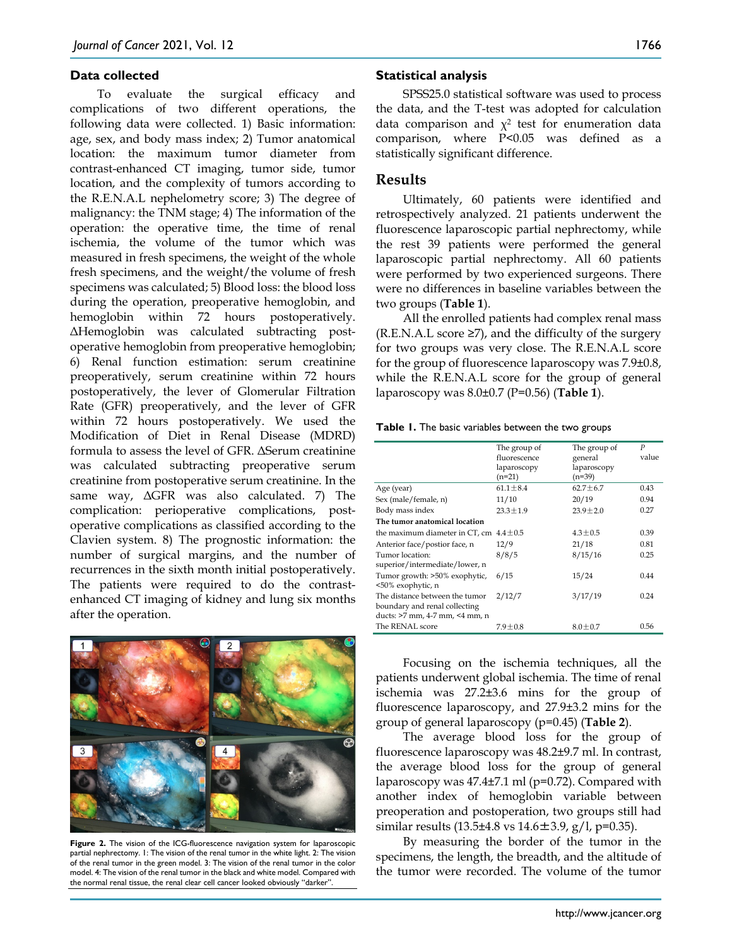#### **Data collected**

To evaluate the surgical efficacy and complications of two different operations, the following data were collected. 1) Basic information: age, sex, and body mass index; 2) Tumor anatomical location: the maximum tumor diameter from contrast-enhanced CT imaging, tumor side, tumor location, and the complexity of tumors according to the R.E.N.A.L nephelometry score; 3) The degree of malignancy: the TNM stage; 4) The information of the operation: the operative time, the time of renal ischemia, the volume of the tumor which was measured in fresh specimens, the weight of the whole fresh specimens, and the weight/the volume of fresh specimens was calculated; 5) Blood loss: the blood loss during the operation, preoperative hemoglobin, and hemoglobin within 72 hours postoperatively. ΔHemoglobin was calculated subtracting postoperative hemoglobin from preoperative hemoglobin; 6) Renal function estimation: serum creatinine preoperatively, serum creatinine within 72 hours postoperatively, the lever of Glomerular Filtration Rate (GFR) preoperatively, and the lever of GFR within 72 hours postoperatively. We used the Modification of Diet in Renal Disease (MDRD) formula to assess the level of GFR. ΔSerum creatinine was calculated subtracting preoperative serum creatinine from postoperative serum creatinine. In the same way, ΔGFR was also calculated. 7) The complication: perioperative complications, postoperative complications as classified according to the Clavien system. 8) The prognostic information: the number of surgical margins, and the number of recurrences in the sixth month initial postoperatively. The patients were required to do the contrastenhanced CT imaging of kidney and lung six months after the operation.



**Figure 2.** The vision of the ICG-fluorescence navigation system for laparoscopic partial nephrectomy. 1: The vision of the renal tumor in the white light. 2: The vision of the renal tumor in the green model. 3: The vision of the renal tumor in the color model. 4: The vision of the renal tumor in the black and white model. Compared with the normal renal tissue, the renal clear cell cancer looked obviously "darker".

#### **Statistical analysis**

SPSS25.0 statistical software was used to process the data, and the T-test was adopted for calculation data comparison and  $\chi^2$  test for enumeration data comparison, where P<0.05 was defined as a statistically significant difference.

## **Results**

Ultimately, 60 patients were identified and retrospectively analyzed. 21 patients underwent the fluorescence laparoscopic partial nephrectomy, while the rest 39 patients were performed the general laparoscopic partial nephrectomy. All 60 patients were performed by two experienced surgeons. There were no differences in baseline variables between the two groups (**Table 1**).

All the enrolled patients had complex renal mass  $(R.E.N.A.L score \ge 7)$ , and the difficulty of the surgery for two groups was very close. The R.E.N.A.L score for the group of fluorescence laparoscopy was 7.9±0.8, while the R.E.N.A.L score for the group of general laparoscopy was 8.0±0.7 (P=0.56) (**Table 1**).

**Table 1.** The basic variables between the two groups

|                                                                                                   | The group of<br>fluorescence<br>laparoscopy<br>$(n=21)$ | The group of<br>general<br>laparoscopy<br>$(n=39)$ | $\boldsymbol{P}$<br>value |
|---------------------------------------------------------------------------------------------------|---------------------------------------------------------|----------------------------------------------------|---------------------------|
| Age (year)                                                                                        | $61.1 \pm 8.4$                                          | $62.7 \pm 6.7$                                     | 0.43                      |
| Sex (male/female, n)                                                                              | 11/10                                                   | 20/19                                              | 0.94                      |
| Body mass index                                                                                   | $23.3 \pm 1.9$                                          | $23.9 \pm 2.0$                                     | 0.27                      |
| The tumor anatomical location                                                                     |                                                         |                                                    |                           |
| the maximum diameter in CT, cm $4.4 \pm 0.5$                                                      |                                                         | $4.3 \pm 0.5$                                      | 0.39                      |
| Anterior face/postior face, n                                                                     | 12/9                                                    | 21/18                                              | 0.81                      |
| Tumor location:<br>superior/intermediate/lower, n                                                 | 8/8/5                                                   | 8/15/16                                            | 0.25                      |
| Tumor growth: >50% exophytic,<br><50% exophytic, n                                                | 6/15                                                    | 15/24                                              | 0.44                      |
| The distance between the tumor<br>boundary and renal collecting<br>ducts: >7 mm, 4-7 mm, <4 mm, n | 2/12/7                                                  | 3/17/19                                            | 0.24                      |
| The RENAL score                                                                                   | $7.9 \pm 0.8$                                           | $8.0 \pm 0.7$                                      | 0.56                      |

Focusing on the ischemia techniques, all the patients underwent global ischemia. The time of renal ischemia was 27.2±3.6 mins for the group of fluorescence laparoscopy, and 27.9±3.2 mins for the group of general laparoscopy (p=0.45) (**Table 2**).

The average blood loss for the group of fluorescence laparoscopy was 48.2±9.7 ml. In contrast, the average blood loss for the group of general laparoscopy was 47.4±7.1 ml (p=0.72). Compared with another index of hemoglobin variable between preoperation and postoperation, two groups still had similar results (13.5±4.8 vs 14.6±3.9, g/l, p=0.35).

By measuring the border of the tumor in the specimens, the length, the breadth, and the altitude of the tumor were recorded. The volume of the tumor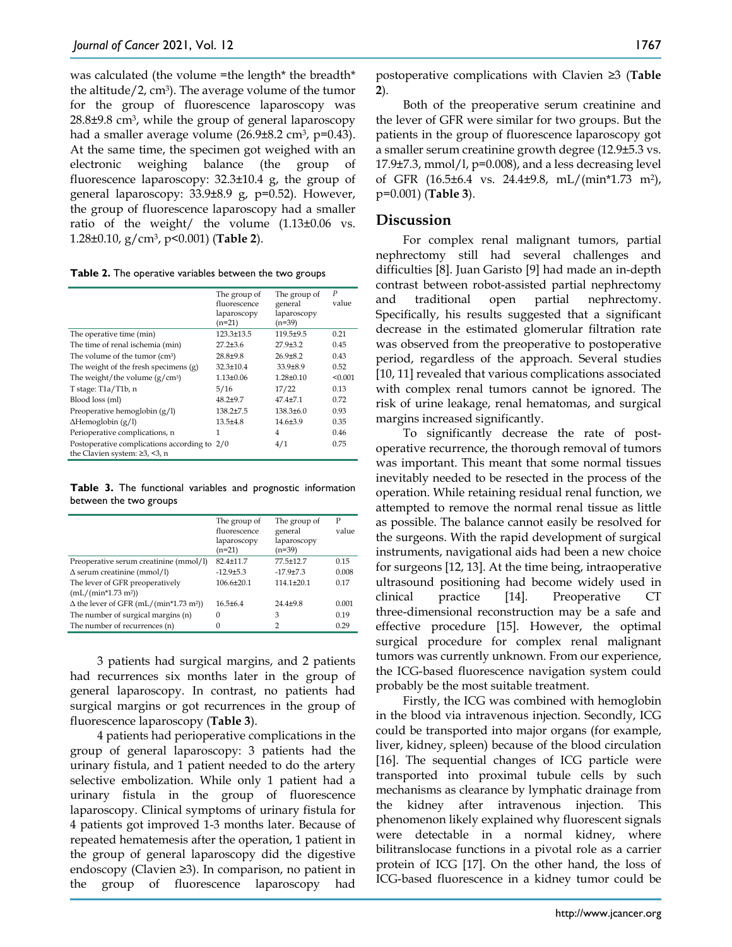was calculated (the volume =the length\* the breadth\* the altitude/2,  $\text{cm}^3$ ). The average volume of the tumor for the group of fluorescence laparoscopy was 28.8±9.8 cm3, while the group of general laparoscopy had a smaller average volume (26.9±8.2 cm<sup>3</sup>, p=0.43). At the same time, the specimen got weighed with an electronic weighing balance (the group of fluorescence laparoscopy: 32.3±10.4 g, the group of general laparoscopy: 33.9±8.9 g, p=0.52). However, the group of fluorescence laparoscopy had a smaller ratio of the weight/ the volume (1.13±0.06 vs. 1.28±0.10, g/cm3, p<0.001) (**Table 2**).

| Table 2. The operative variables between the two groups |  |  |  |  |  |
|---------------------------------------------------------|--|--|--|--|--|
|---------------------------------------------------------|--|--|--|--|--|

|                                              | The group of<br>fluorescence<br>laparoscopy<br>$(n=21)$ | The group of<br>general<br>laparoscopy<br>$(n=39)$ | $\overline{P}$<br>value |
|----------------------------------------------|---------------------------------------------------------|----------------------------------------------------|-------------------------|
| The operative time (min)                     | 123.3±13.5                                              | 119.5±9.5                                          | 0.21                    |
| The time of renal ischemia (min)             | $27.2 + 3.6$                                            | $27.9 + 3.2$                                       | 0.45                    |
| The volume of the tumor (cm <sup>3</sup> )   | $28.8 + 9.8$                                            | $26.9 + 8.2$                                       | 0.43                    |
| The weight of the fresh specimens (g)        | $32.3 \pm 10.4$                                         | $33.9 \pm 8.9$                                     | 0.52                    |
| The weight/the volume $(g/cm3)$              | $1.13 \pm 0.06$                                         | $1.28 + 0.10$                                      | < 0.001                 |
| T stage: T1a/T1b, n                          | 5/16                                                    | 17/22                                              | 0.13                    |
| Blood loss (ml)                              | $48.2{\pm}9.7$                                          | $47.4 + 7.1$                                       | 0.72                    |
| Preoperative hemoglobin $(g/l)$              | $138.2{\pm}7.5$                                         | $138.3 \pm 6.0$                                    | 0.93                    |
| $\Delta$ Hemoglobin (g/l)                    | $13.5 + 4.8$                                            | $14.6 + 3.9$                                       | 0.35                    |
| Perioperative complications, n               | 1                                                       | 4                                                  | 0.46                    |
| Postoperative complications according to 2/0 |                                                         | 4/1                                                | 0.75                    |
| the Clavien system: $\geq 3$ , <3, n         |                                                         |                                                    |                         |

**Table 3.** The functional variables and prognostic information between the two groups

|                                                           | The group of<br>fluorescence<br>laparoscopy<br>$(n=21)$ | The group of<br>general<br>laparoscopy<br>$(n=39)$ | P<br>value |
|-----------------------------------------------------------|---------------------------------------------------------|----------------------------------------------------|------------|
| Preoperative serum creatinine (mmol/l)                    | $82.4 + 11.7$                                           | 77.5±12.7                                          | 0.15       |
| $\Delta$ serum creatinine (mmol/l)                        | $-12.9 + 5.3$                                           | $-17.9 + 7.3$                                      | 0.008      |
| The lever of GFR preoperatively<br>$(mL/(min*1.73 m2))$   | $106.6 + 20.1$                                          | $114.1 + 20.1$                                     | 0.17       |
| $\Delta$ the lever of GFR (mL/(min*1.73 m <sup>2</sup> )) | $16.5 + 6.4$                                            | $24.4 + 9.8$                                       | 0.001      |
| The number of surgical margins (n)                        | $\Omega$                                                | 3                                                  | 0.19       |
| The number of recurrences (n)                             | 0                                                       | 2                                                  | 0.29       |

3 patients had surgical margins, and 2 patients had recurrences six months later in the group of general laparoscopy. In contrast, no patients had surgical margins or got recurrences in the group of fluorescence laparoscopy (**Table 3**).

4 patients had perioperative complications in the group of general laparoscopy: 3 patients had the urinary fistula, and 1 patient needed to do the artery selective embolization. While only 1 patient had a urinary fistula in the group of fluorescence laparoscopy. Clinical symptoms of urinary fistula for 4 patients got improved 1-3 months later. Because of repeated hematemesis after the operation, 1 patient in the group of general laparoscopy did the digestive endoscopy (Clavien ≥3). In comparison, no patient in the group of fluorescence laparoscopy had postoperative complications with Clavien ≥3 (**Table 2**).

Both of the preoperative serum creatinine and the lever of GFR were similar for two groups. But the patients in the group of fluorescence laparoscopy got a smaller serum creatinine growth degree (12.9±5.3 vs.  $17.9\pm7.3$ , mmol/l, p=0.008), and a less decreasing level of GFR (16.5±6.4 vs. 24.4±9.8, mL/(min\*1.73 m2), p=0.001) (**Table 3**).

## **Discussion**

For complex renal malignant tumors, partial nephrectomy still had several challenges and difficulties [8]. Juan Garisto [9] had made an in-depth contrast between robot-assisted partial nephrectomy and traditional open partial nephrectomy. Specifically, his results suggested that a significant decrease in the estimated glomerular filtration rate was observed from the preoperative to postoperative period, regardless of the approach. Several studies [10, 11] revealed that various complications associated with complex renal tumors cannot be ignored. The risk of urine leakage, renal hematomas, and surgical margins increased significantly.

To significantly decrease the rate of postoperative recurrence, the thorough removal of tumors was important. This meant that some normal tissues inevitably needed to be resected in the process of the operation. While retaining residual renal function, we attempted to remove the normal renal tissue as little as possible. The balance cannot easily be resolved for the surgeons. With the rapid development of surgical instruments, navigational aids had been a new choice for surgeons [12, 13]. At the time being, intraoperative ultrasound positioning had become widely used in clinical practice [14]. Preoperative CT three-dimensional reconstruction may be a safe and effective procedure [15]. However, the optimal surgical procedure for complex renal malignant tumors was currently unknown. From our experience, the ICG-based fluorescence navigation system could probably be the most suitable treatment.

Firstly, the ICG was combined with hemoglobin in the blood via intravenous injection. Secondly, ICG could be transported into major organs (for example, liver, kidney, spleen) because of the blood circulation [16]. The sequential changes of ICG particle were transported into proximal tubule cells by such mechanisms as clearance by lymphatic drainage from the kidney after intravenous injection. This phenomenon likely explained why fluorescent signals were detectable in a normal kidney, where bilitranslocase functions in a pivotal role as a carrier protein of ICG [17]. On the other hand, the loss of ICG-based fluorescence in a kidney tumor could be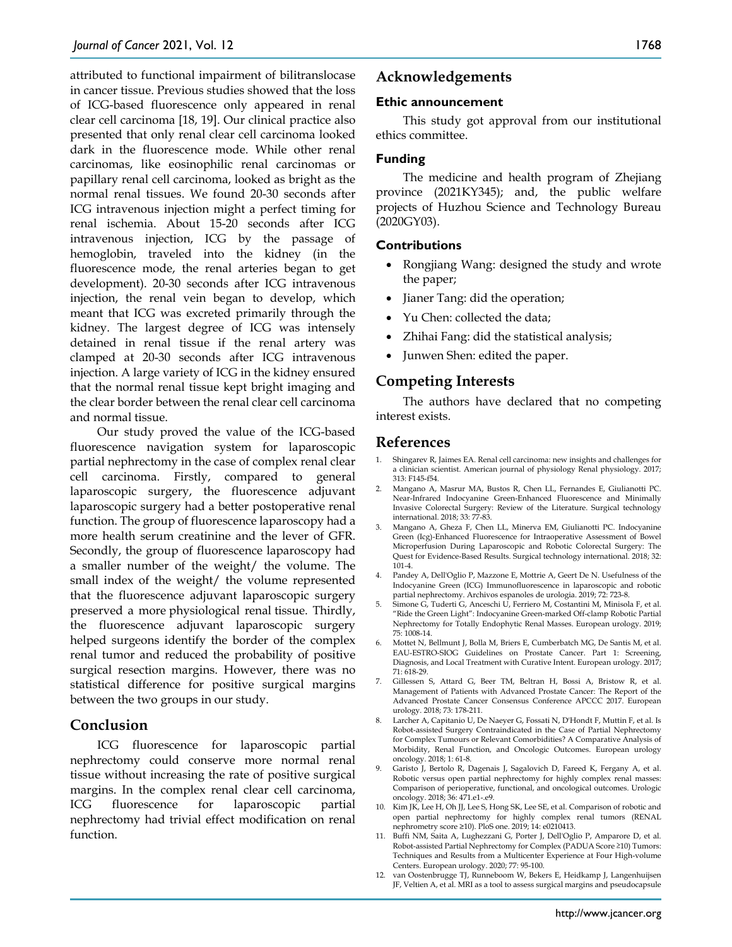attributed to functional impairment of bilitranslocase in cancer tissue. Previous studies showed that the loss of ICG-based fluorescence only appeared in renal clear cell carcinoma [18, 19]. Our clinical practice also presented that only renal clear cell carcinoma looked dark in the fluorescence mode. While other renal carcinomas, like eosinophilic renal carcinomas or papillary renal cell carcinoma, looked as bright as the normal renal tissues. We found 20-30 seconds after ICG intravenous injection might a perfect timing for renal ischemia. About 15-20 seconds after ICG intravenous injection, ICG by the passage of hemoglobin, traveled into the kidney (in the fluorescence mode, the renal arteries began to get development). 20-30 seconds after ICG intravenous injection, the renal vein began to develop, which meant that ICG was excreted primarily through the kidney. The largest degree of ICG was intensely detained in renal tissue if the renal artery was clamped at 20-30 seconds after ICG intravenous injection. A large variety of ICG in the kidney ensured that the normal renal tissue kept bright imaging and the clear border between the renal clear cell carcinoma and normal tissue.

Our study proved the value of the ICG-based fluorescence navigation system for laparoscopic partial nephrectomy in the case of complex renal clear cell carcinoma. Firstly, compared to general laparoscopic surgery, the fluorescence adjuvant laparoscopic surgery had a better postoperative renal function. The group of fluorescence laparoscopy had a more health serum creatinine and the lever of GFR. Secondly, the group of fluorescence laparoscopy had a smaller number of the weight/ the volume. The small index of the weight/ the volume represented that the fluorescence adjuvant laparoscopic surgery preserved a more physiological renal tissue. Thirdly, the fluorescence adjuvant laparoscopic surgery helped surgeons identify the border of the complex renal tumor and reduced the probability of positive surgical resection margins. However, there was no statistical difference for positive surgical margins between the two groups in our study.

# **Conclusion**

ICG fluorescence for laparoscopic partial nephrectomy could conserve more normal renal tissue without increasing the rate of positive surgical margins. In the complex renal clear cell carcinoma, ICG fluorescence for laparoscopic partial nephrectomy had trivial effect modification on renal function.

# **Acknowledgements**

## **Ethic announcement**

This study got approval from our institutional ethics committee.

## **Funding**

The medicine and health program of Zhejiang province (2021KY345); and, the public welfare projects of Huzhou Science and Technology Bureau (2020GY03).

## **Contributions**

- Rongjiang Wang: designed the study and wrote the paper;
- Jianer Tang: did the operation;
- Yu Chen: collected the data;
- Zhihai Fang: did the statistical analysis;
- Junwen Shen: edited the paper.

# **Competing Interests**

The authors have declared that no competing interest exists.

# **References**

- 1. Shingarev R, Jaimes EA. Renal cell carcinoma: new insights and challenges for a clinician scientist. American journal of physiology Renal physiology. 2017; 313: F145-f54.
- 2. Mangano A, Masrur MA, Bustos R, Chen LL, Fernandes E, Giulianotti PC. Near-Infrared Indocyanine Green-Enhanced Fluorescence and Minimally Invasive Colorectal Surgery: Review of the Literature. Surgical technology international. 2018; 33: 77-83.
- 3. Mangano A, Gheza F, Chen LL, Minerva EM, Giulianotti PC. Indocyanine Green (Icg)-Enhanced Fluorescence for Intraoperative Assessment of Bowel Microperfusion During Laparoscopic and Robotic Colorectal Surgery: The Quest for Evidence-Based Results. Surgical technology international. 2018; 32: 101-4.
- 4. Pandey A, Dell'Oglio P, Mazzone E, Mottrie A, Geert De N. Usefulness of the Indocyanine Green (ICG) Immunofluorescence in laparoscopic and robotic partial nephrectomy. Archivos espanoles de urologia. 2019; 72: 723-8.
- 5. Simone G, Tuderti G, Anceschi U, Ferriero M, Costantini M, Minisola F, et al. "Ride the Green Light": Indocyanine Green-marked Off-clamp Robotic Partial Nephrectomy for Totally Endophytic Renal Masses. European urology. 2019; 75: 1008-14.
- 6. Mottet N, Bellmunt J, Bolla M, Briers E, Cumberbatch MG, De Santis M, et al. EAU-ESTRO-SIOG Guidelines on Prostate Cancer. Part 1: Screening, Diagnosis, and Local Treatment with Curative Intent. European urology. 2017; 71: 618-29.
- 7. Gillessen S, Attard G, Beer TM, Beltran H, Bossi A, Bristow R, et al. Management of Patients with Advanced Prostate Cancer: The Report of the Advanced Prostate Cancer Consensus Conference APCCC 2017. European urology. 2018; 73: 178-211.
- 8. Larcher A, Capitanio U, De Naeyer G, Fossati N, D'Hondt F, Muttin F, et al. Is Robot-assisted Surgery Contraindicated in the Case of Partial Nephrectomy for Complex Tumours or Relevant Comorbidities? A Comparative Analysis of Morbidity, Renal Function, and Oncologic Outcomes. European urology oncology. 2018; 1: 61-8.
- 9. Garisto J, Bertolo R, Dagenais J, Sagalovich D, Fareed K, Fergany A, et al. Robotic versus open partial nephrectomy for highly complex renal masses: Comparison of perioperative, functional, and oncological outcomes. Urologic oncology. 2018; 36: 471.e1-.e9.
- 10. Kim JK, Lee H, Oh JJ, Lee S, Hong SK, Lee SE, et al. Comparison of robotic and open partial nephrectomy for highly complex renal tumors (RENAL nephrometry score ≥10). PloS one. 2019; 14: e0210413.
- 11. Buffi NM, Saita A, Lughezzani G, Porter J, Dell'Oglio P, Amparore D, et al. Robot-assisted Partial Nephrectomy for Complex (PADUA Score ≥10) Tumors: Techniques and Results from a Multicenter Experience at Four High-volume Centers. European urology. 2020; 77: 95-100.
- 12. van Oostenbrugge TJ, Runneboom W, Bekers E, Heidkamp J, Langenhuijsen JF, Veltien A, et al. MRI as a tool to assess surgical margins and pseudocapsule